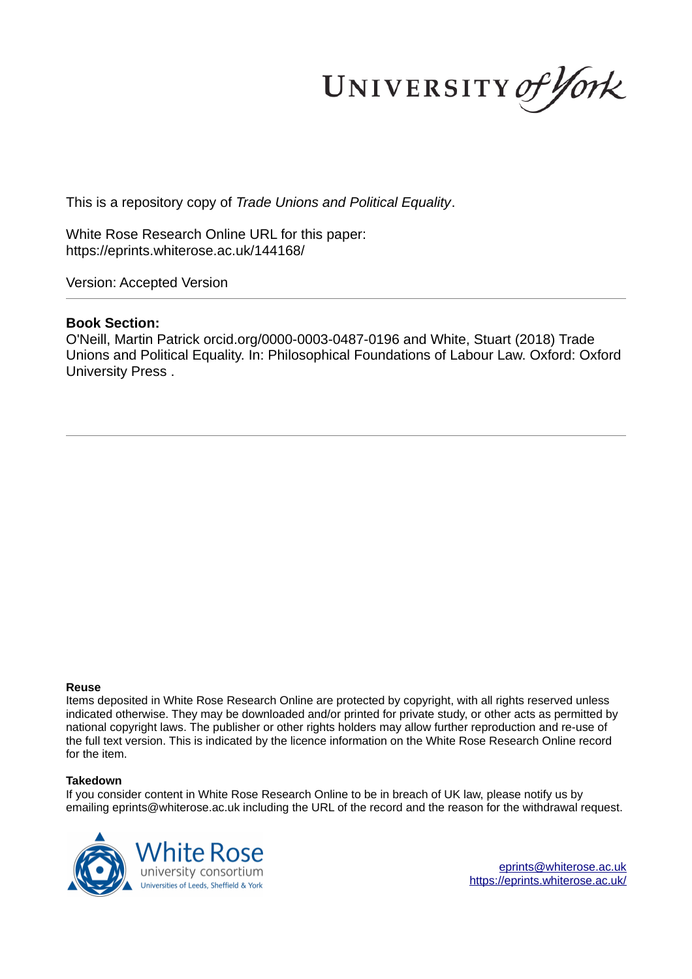UNIVERSITY of York

This is a repository copy of *Trade Unions and Political Equality*.

White Rose Research Online URL for this paper: https://eprints.whiterose.ac.uk/144168/

Version: Accepted Version

## **Book Section:**

O'Neill, Martin Patrick orcid.org/0000-0003-0487-0196 and White, Stuart (2018) Trade Unions and Political Equality. In: Philosophical Foundations of Labour Law. Oxford: Oxford University Press .

#### **Reuse**

Items deposited in White Rose Research Online are protected by copyright, with all rights reserved unless indicated otherwise. They may be downloaded and/or printed for private study, or other acts as permitted by national copyright laws. The publisher or other rights holders may allow further reproduction and re-use of the full text version. This is indicated by the licence information on the White Rose Research Online record for the item.

#### **Takedown**

If you consider content in White Rose Research Online to be in breach of UK law, please notify us by emailing eprints@whiterose.ac.uk including the URL of the record and the reason for the withdrawal request.



eprints@whiterose.ac.uk https://eprints.whiterose.ac.uk/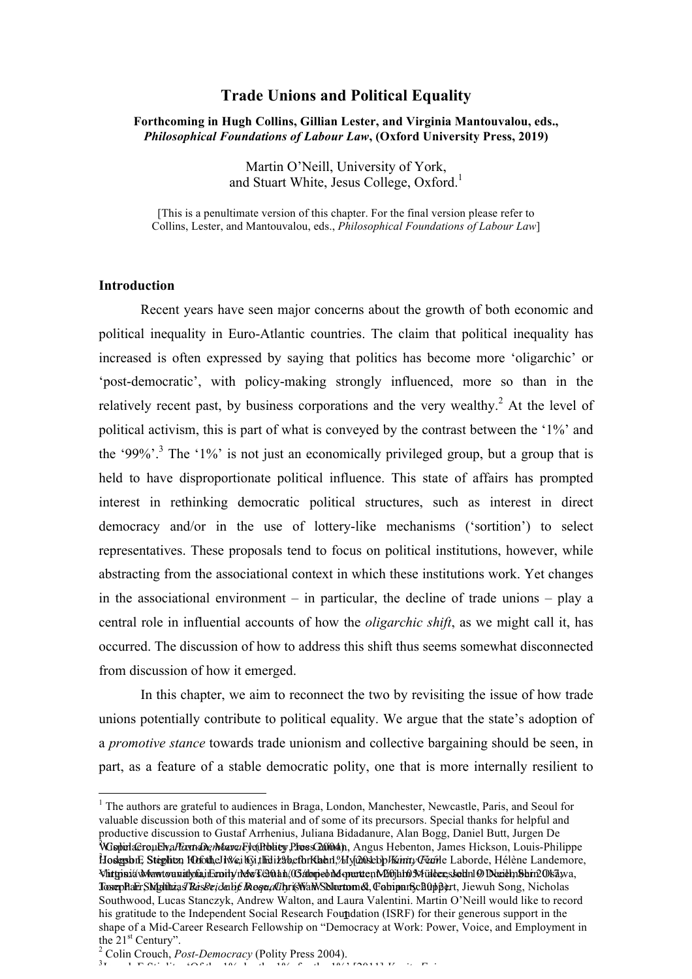# **Trade Unions and Political Equality**

### **Forthcoming in Hugh Collins, Gillian Lester, and Virginia Mantouvalou, eds.,**  *Philosophical Foundations of Labour Law***, (Oxford University Press, 2019)**

Martin O'Neill, University of York, and Stuart White, Jesus College, Oxford.<sup>1</sup>

[This is a penultimate version of this chapter. For the final version please refer to Collins, Lester, and Mantouvalou, eds., *Philosophical Foundations of Labour Law*]

## **Introduction**

 $\overline{a}$ 

 Recent years have seen major concerns about the growth of both economic and political inequality in Euro-Atlantic countries. The claim that political inequality has increased is often expressed by saying that politics has become more 'oligarchic' or 'post-democratic', with policy-making strongly influenced, more so than in the relatively recent past, by business corporations and the very wealthy.<sup>2</sup> At the level of political activism, this is part of what is conveyed by the contrast between the '1%' and the '99%'.<sup>3</sup> The '1%' is not just an economically privileged group, but a group that is held to have disproportionate political influence. This state of affairs has prompted interest in rethinking democratic political structures, such as interest in direct democracy and/or in the use of lottery-like mechanisms ('sortition') to select representatives. These proposals tend to focus on political institutions, however, while abstracting from the associational context in which these institutions work. Yet changes in the associational environment – in particular, the decline of trade unions – play a central role in influential accounts of how the *oligarchic shift*, as we might call it, has occurred. The discussion of how to address this shift thus seems somewhat disconnected from discussion of how it emerged.

 In this chapter, we aim to reconnect the two by revisiting the issue of how trade unions potentially contribute to political equality. We argue that the state's adoption of a *promotive stance* towards trade unionism and collective bargaining should be seen, in part, as a feature of a stable democratic polity, one that is more internally resilient to

 $3\frac{1}{1}$ Jo h E Sti lit 'Of th 1% b th 1% f th 1%' [2011] *Va it Fai*

his gratitude to the Independent Social Research Foundation (ISRF) for their generous support in the <sup>1</sup> The authors are grateful to audiences in Braga, London, Manchester, Newcastle, Paris, and Seoul for valuable discussion both of this material and of some of its precursors. Special thanks for helpful and productive discussion to Gustaf Arrhenius, Juliana Bidadanure, Alan Bogg, Daniel Butt, Jurgen De wispindaereu Elv*a Formane, Marro Fy*e (Prolity Press 2000 ap. Angus Hebenton, James Hickson, Louis-Philippe t<br>Hodgsbu: Stephtz, Motothel Wei Gi, the 112 beth Klahn, *Mya*0sebb*Wann, Gerile Laborde, Hélène Landemore*, Virtyinia Mantouralofia Exnity NovTeO http://Gabrield.com/2011/06/https://www.cessed.com/2011/05/top-one-perce Tom pharr Shighiba*as Rasse i da he Inequality is* Walw Shlortom & Cabipan Schuppert, Jiewuh Song, Nicholas Southwood, Lucas Stanczyk, Andrew Walton, and Laura Valentini. Martin O'Neill would like to record shape of a Mid-Career Research Fellowship on "Democracy at Work: Power, Voice, and Employment in the  $21<sup>st</sup>$  Century".

<sup>&</sup>lt;sup>2</sup> Colin Crouch, *Post-Democracy* (Polity Press 2004).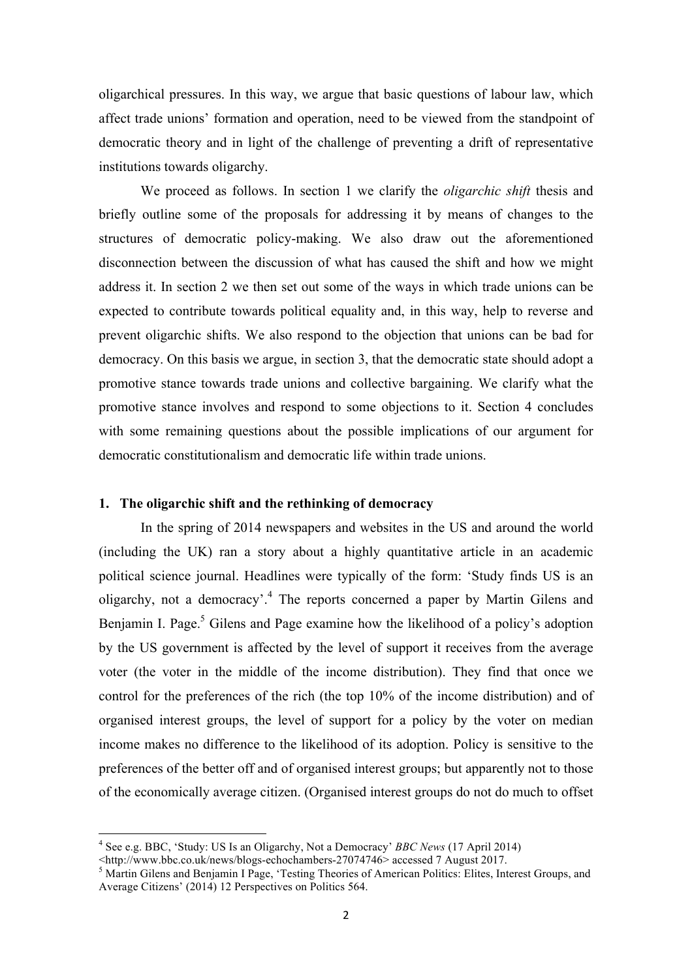oligarchical pressures. In this way, we argue that basic questions of labour law, which affect trade unions' formation and operation, need to be viewed from the standpoint of democratic theory and in light of the challenge of preventing a drift of representative institutions towards oligarchy.

We proceed as follows. In section 1 we clarify the *oligarchic shift* thesis and briefly outline some of the proposals for addressing it by means of changes to the structures of democratic policy-making. We also draw out the aforementioned disconnection between the discussion of what has caused the shift and how we might address it. In section 2 we then set out some of the ways in which trade unions can be expected to contribute towards political equality and, in this way, help to reverse and prevent oligarchic shifts. We also respond to the objection that unions can be bad for democracy. On this basis we argue, in section 3, that the democratic state should adopt a promotive stance towards trade unions and collective bargaining. We clarify what the promotive stance involves and respond to some objections to it. Section 4 concludes with some remaining questions about the possible implications of our argument for democratic constitutionalism and democratic life within trade unions.

# **1. The oligarchic shift and the rethinking of democracy**

In the spring of 2014 newspapers and websites in the US and around the world (including the UK) ran a story about a highly quantitative article in an academic political science journal. Headlines were typically of the form: 'Study finds US is an oligarchy, not a democracy'.<sup>4</sup> The reports concerned a paper by Martin Gilens and Benjamin I. Page.<sup>5</sup> Gilens and Page examine how the likelihood of a policy's adoption by the US government is affected by the level of support it receives from the average voter (the voter in the middle of the income distribution). They find that once we control for the preferences of the rich (the top 10% of the income distribution) and of organised interest groups, the level of support for a policy by the voter on median income makes no difference to the likelihood of its adoption. Policy is sensitive to the preferences of the better off and of organised interest groups; but apparently not to those of the economically average citizen. (Organised interest groups do not do much to offset

 4 See e.g. BBC, 'Study: US Is an Oligarchy, Not a Democracy' *BBC News* (17 April 2014)

<sup>&</sup>lt;http://www.bbc.co.uk/news/blogs-echochambers-27074746> accessed 7 August 2017.

 $<sup>5</sup>$  Martin Gilens and Benjamin I Page, 'Testing Theories of American Politics: Elites, Interest Groups, and</sup> Average Citizens' (2014) 12 Perspectives on Politics 564.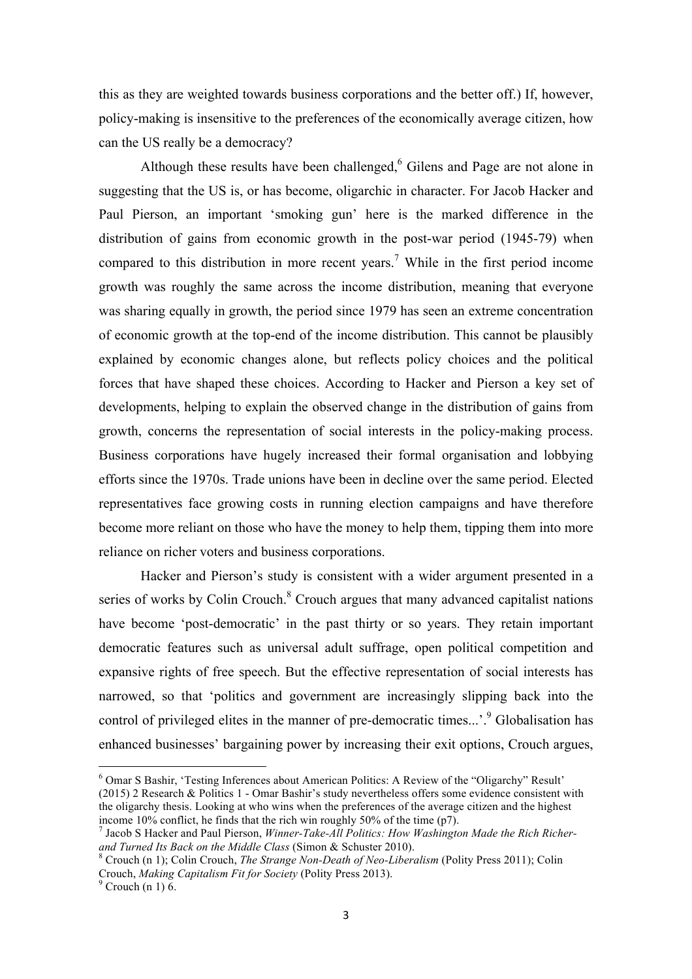this as they are weighted towards business corporations and the better off.) If, however, policy-making is insensitive to the preferences of the economically average citizen, how can the US really be a democracy?

Although these results have been challenged, $6$  Gilens and Page are not alone in suggesting that the US is, or has become, oligarchic in character. For Jacob Hacker and Paul Pierson, an important 'smoking gun' here is the marked difference in the distribution of gains from economic growth in the post-war period (1945-79) when compared to this distribution in more recent years.<sup>7</sup> While in the first period income growth was roughly the same across the income distribution, meaning that everyone was sharing equally in growth, the period since 1979 has seen an extreme concentration of economic growth at the top-end of the income distribution. This cannot be plausibly explained by economic changes alone, but reflects policy choices and the political forces that have shaped these choices. According to Hacker and Pierson a key set of developments, helping to explain the observed change in the distribution of gains from growth, concerns the representation of social interests in the policy-making process. Business corporations have hugely increased their formal organisation and lobbying efforts since the 1970s. Trade unions have been in decline over the same period. Elected representatives face growing costs in running election campaigns and have therefore become more reliant on those who have the money to help them, tipping them into more reliance on richer voters and business corporations.

Hacker and Pierson's study is consistent with a wider argument presented in a series of works by Colin Crouch.<sup>8</sup> Crouch argues that many advanced capitalist nations have become 'post-democratic' in the past thirty or so years. They retain important democratic features such as universal adult suffrage, open political competition and expansive rights of free speech. But the effective representation of social interests has narrowed, so that 'politics and government are increasingly slipping back into the control of privileged elites in the manner of pre-democratic times...'.<sup>9</sup> Globalisation has enhanced businesses' bargaining power by increasing their exit options, Crouch argues,

<sup>6</sup> Omar S Bashir, 'Testing Inferences about American Politics: A Review of the "Oligarchy" Result' (2015) 2 Research & Politics 1 - Omar Bashir's study nevertheless offers some evidence consistent with the oligarchy thesis. Looking at who wins when the preferences of the average citizen and the highest income 10% conflict, he finds that the rich win roughly 50% of the time (p7).

<sup>7</sup> Jacob S Hacker and Paul Pierson, *Winner-Take-All Politics: How Washington Made the Rich Richerand Turned Its Back on the Middle Class* (Simon & Schuster 2010).

<sup>8</sup> Crouch (n 1); Colin Crouch, *The Strange Non-Death of Neo-Liberalism* (Polity Press 2011); Colin Crouch, *Making Capitalism Fit for Society* (Polity Press 2013).

 $^9$  Crouch (n 1) 6.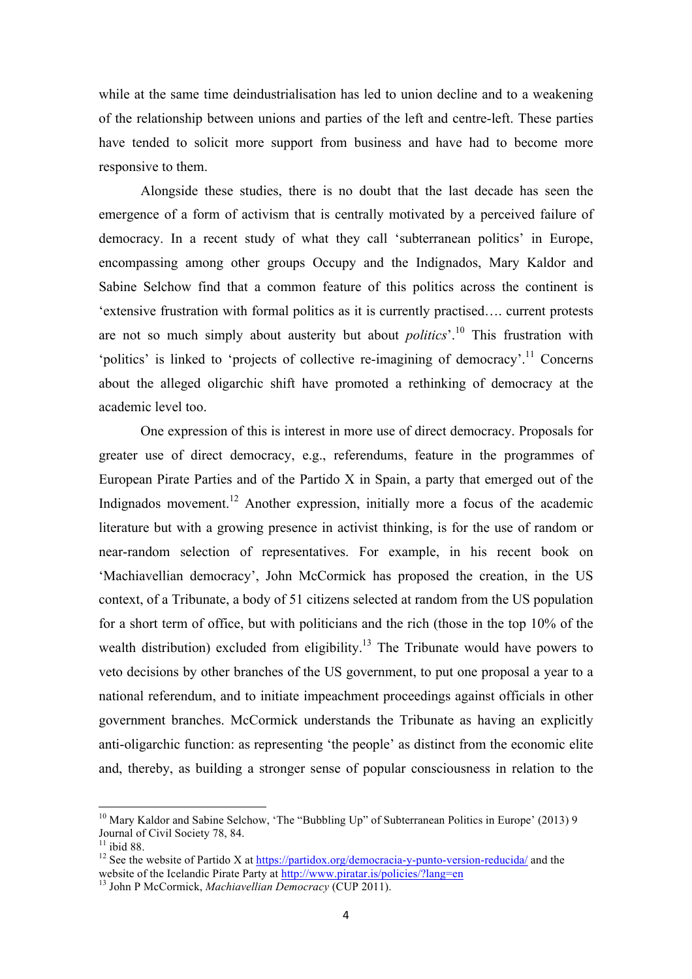while at the same time deindustrialisation has led to union decline and to a weakening of the relationship between unions and parties of the left and centre-left. These parties have tended to solicit more support from business and have had to become more responsive to them.

Alongside these studies, there is no doubt that the last decade has seen the emergence of a form of activism that is centrally motivated by a perceived failure of democracy. In a recent study of what they call 'subterranean politics' in Europe, encompassing among other groups Occupy and the Indignados, Mary Kaldor and Sabine Selchow find that a common feature of this politics across the continent is 'extensive frustration with formal politics as it is currently practised…. current protests are not so much simply about austerity but about *politics*'.<sup>10</sup> This frustration with 'politics' is linked to 'projects of collective re-imagining of democracy'.<sup>11</sup> Concerns about the alleged oligarchic shift have promoted a rethinking of democracy at the academic level too.

One expression of this is interest in more use of direct democracy. Proposals for greater use of direct democracy, e.g., referendums, feature in the programmes of European Pirate Parties and of the Partido X in Spain, a party that emerged out of the Indignados movement.<sup>12</sup> Another expression, initially more a focus of the academic literature but with a growing presence in activist thinking, is for the use of random or near-random selection of representatives. For example, in his recent book on 'Machiavellian democracy', John McCormick has proposed the creation, in the US context, of a Tribunate, a body of 51 citizens selected at random from the US population for a short term of office, but with politicians and the rich (those in the top 10% of the wealth distribution) excluded from eligibility.<sup>13</sup> The Tribunate would have powers to veto decisions by other branches of the US government, to put one proposal a year to a national referendum, and to initiate impeachment proceedings against officials in other government branches. McCormick understands the Tribunate as having an explicitly anti-oligarchic function: as representing 'the people' as distinct from the economic elite and, thereby, as building a stronger sense of popular consciousness in relation to the

<sup>&</sup>lt;sup>10</sup> Mary Kaldor and Sabine Selchow, 'The "Bubbling Up" of Subterranean Politics in Europe' (2013) 9 Journal of Civil Society 78, 84.

 $11$  ibid 88.

<sup>&</sup>lt;sup>12</sup> See the website of Partido X at https://partidox.org/democracia-y-punto-version-reducida/ and the website of the Icelandic Pirate Party at http://www.piratar.js/policies/?lang=en

<sup>13</sup> John P McCormick, *Machiavellian Democracy* (CUP 2011).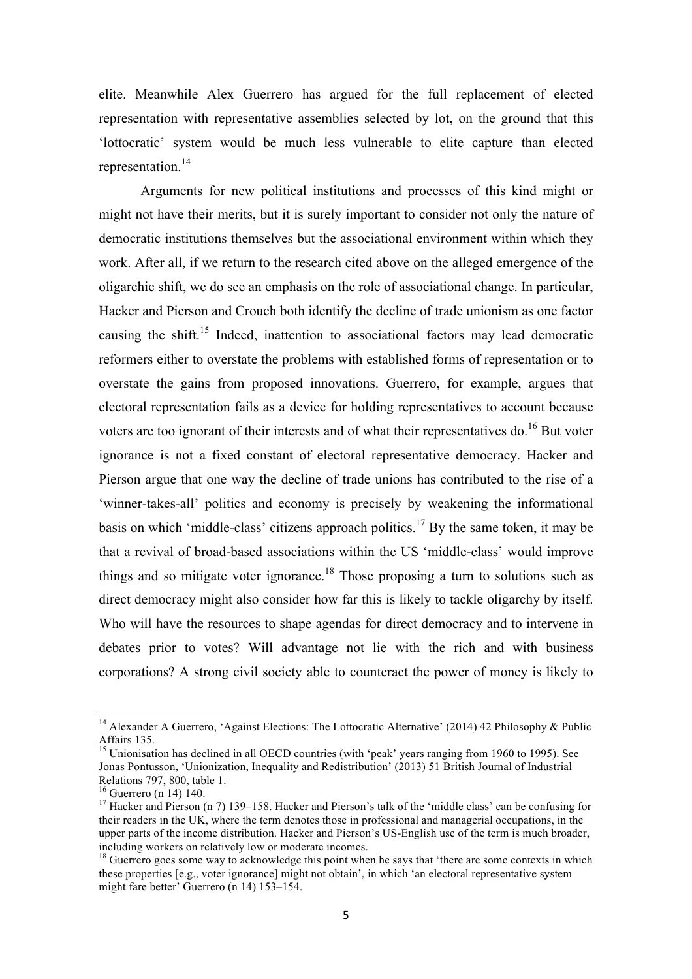elite. Meanwhile Alex Guerrero has argued for the full replacement of elected representation with representative assemblies selected by lot, on the ground that this 'lottocratic' system would be much less vulnerable to elite capture than elected representation.<sup>14</sup>

Arguments for new political institutions and processes of this kind might or might not have their merits, but it is surely important to consider not only the nature of democratic institutions themselves but the associational environment within which they work. After all, if we return to the research cited above on the alleged emergence of the oligarchic shift, we do see an emphasis on the role of associational change. In particular, Hacker and Pierson and Crouch both identify the decline of trade unionism as one factor causing the shift.<sup>15</sup> Indeed, inattention to associational factors may lead democratic reformers either to overstate the problems with established forms of representation or to overstate the gains from proposed innovations. Guerrero, for example, argues that electoral representation fails as a device for holding representatives to account because voters are too ignorant of their interests and of what their representatives do.<sup>16</sup> But voter ignorance is not a fixed constant of electoral representative democracy. Hacker and Pierson argue that one way the decline of trade unions has contributed to the rise of a 'winner-takes-all' politics and economy is precisely by weakening the informational basis on which 'middle-class' citizens approach politics.<sup>17</sup> By the same token, it may be that a revival of broad-based associations within the US 'middle-class' would improve things and so mitigate voter ignorance.<sup>18</sup> Those proposing a turn to solutions such as direct democracy might also consider how far this is likely to tackle oligarchy by itself. Who will have the resources to shape agendas for direct democracy and to intervene in debates prior to votes? Will advantage not lie with the rich and with business corporations? A strong civil society able to counteract the power of money is likely to

<sup>&</sup>lt;sup>14</sup> Alexander A Guerrero, 'Against Elections: The Lottocratic Alternative' (2014) 42 Philosophy & Public Affairs 135.

<sup>&</sup>lt;sup>15</sup> Unionisation has declined in all OECD countries (with 'peak' years ranging from 1960 to 1995). See Jonas Pontusson, 'Unionization, Inequality and Redistribution' (2013) 51 British Journal of Industrial Relations 797, 800, table 1.

 $16$  Guerrero (n 14) 140.

<sup>&</sup>lt;sup>17</sup> Hacker and Pierson (n 7) 139–158. Hacker and Pierson's talk of the 'middle class' can be confusing for their readers in the UK, where the term denotes those in professional and managerial occupations, in the upper parts of the income distribution. Hacker and Pierson's US-English use of the term is much broader, including workers on relatively low or moderate incomes.

 $<sup>18</sup>$  Guerrero goes some way to acknowledge this point when he says that 'there are some contexts in which</sup> these properties [e.g., voter ignorance] might not obtain', in which 'an electoral representative system might fare better' Guerrero (n 14) 153–154.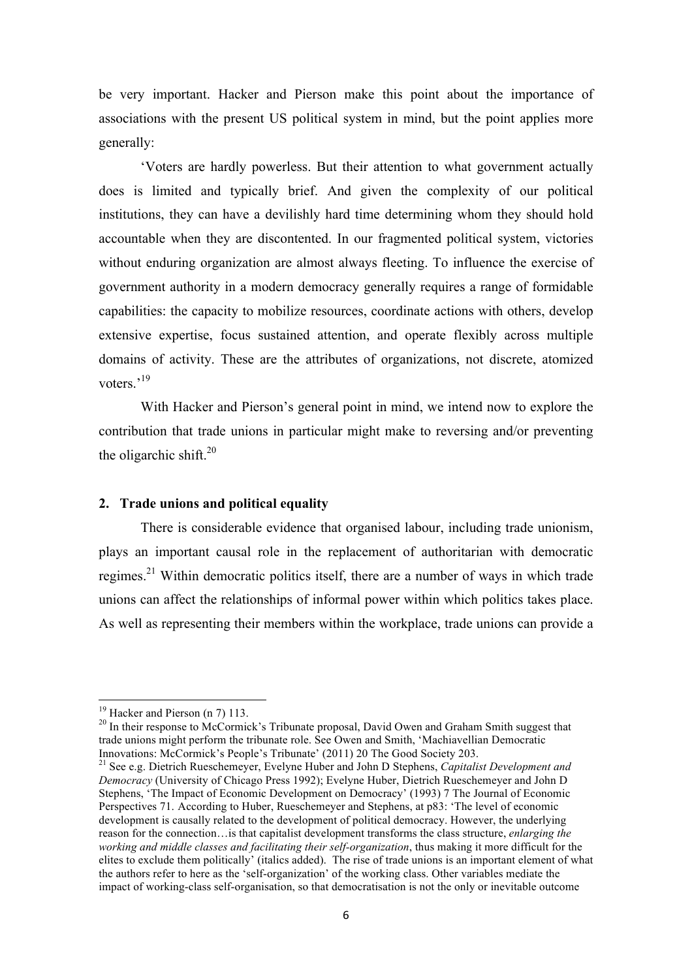be very important. Hacker and Pierson make this point about the importance of associations with the present US political system in mind, but the point applies more generally:

'Voters are hardly powerless. But their attention to what government actually does is limited and typically brief. And given the complexity of our political institutions, they can have a devilishly hard time determining whom they should hold accountable when they are discontented. In our fragmented political system, victories without enduring organization are almost always fleeting. To influence the exercise of government authority in a modern democracy generally requires a range of formidable capabilities: the capacity to mobilize resources, coordinate actions with others, develop extensive expertise, focus sustained attention, and operate flexibly across multiple domains of activity. These are the attributes of organizations, not discrete, atomized voters.'<sup>19</sup>

With Hacker and Pierson's general point in mind, we intend now to explore the contribution that trade unions in particular might make to reversing and/or preventing the oligarchic shift. $20$ 

## **2. Trade unions and political equality**

There is considerable evidence that organised labour, including trade unionism, plays an important causal role in the replacement of authoritarian with democratic regimes.<sup>21</sup> Within democratic politics itself, there are a number of ways in which trade unions can affect the relationships of informal power within which politics takes place. As well as representing their members within the workplace, trade unions can provide a

 $\overline{a}$  $19$  Hacker and Pierson (n 7) 113.

<sup>&</sup>lt;sup>20</sup> In their response to McCormick's Tribunate proposal, David Owen and Graham Smith suggest that trade unions might perform the tribunate role. See Owen and Smith, 'Machiavellian Democratic Innovations: McCormick's People's Tribunate' (2011) 20 The Good Society 203.

<sup>21</sup> See e.g. Dietrich Rueschemeyer, Evelyne Huber and John D Stephens, *Capitalist Development and Democracy* (University of Chicago Press 1992); Evelyne Huber, Dietrich Rueschemeyer and John D Stephens, 'The Impact of Economic Development on Democracy' (1993) 7 The Journal of Economic Perspectives 71. According to Huber, Rueschemeyer and Stephens, at p83: 'The level of economic development is causally related to the development of political democracy. However, the underlying reason for the connection…is that capitalist development transforms the class structure, *enlarging the working and middle classes and facilitating their self-organization*, thus making it more difficult for the elites to exclude them politically' (italics added). The rise of trade unions is an important element of what the authors refer to here as the 'self-organization' of the working class. Other variables mediate the impact of working-class self-organisation, so that democratisation is not the only or inevitable outcome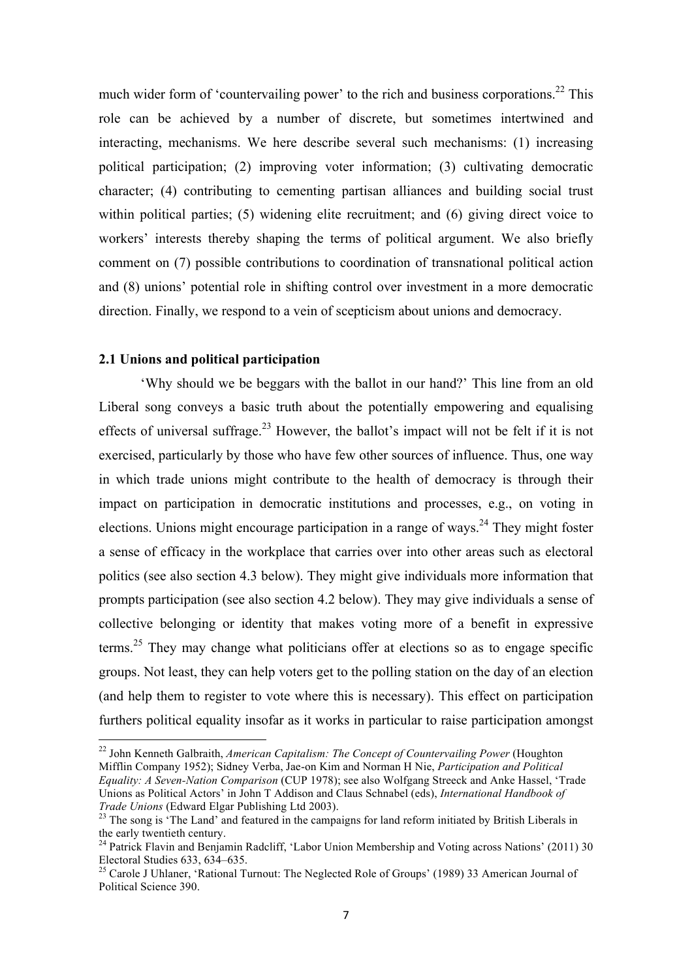much wider form of 'countervailing power' to the rich and business corporations.<sup>22</sup> This role can be achieved by a number of discrete, but sometimes intertwined and interacting, mechanisms. We here describe several such mechanisms: (1) increasing political participation; (2) improving voter information; (3) cultivating democratic character; (4) contributing to cementing partisan alliances and building social trust within political parties; (5) widening elite recruitment; and (6) giving direct voice to workers' interests thereby shaping the terms of political argument. We also briefly comment on (7) possible contributions to coordination of transnational political action and (8) unions' potential role in shifting control over investment in a more democratic direction. Finally, we respond to a vein of scepticism about unions and democracy.

#### **2.1 Unions and political participation**

 $\overline{a}$ 

 'Why should we be beggars with the ballot in our hand?' This line from an old Liberal song conveys a basic truth about the potentially empowering and equalising effects of universal suffrage.<sup>23</sup> However, the ballot's impact will not be felt if it is not exercised, particularly by those who have few other sources of influence. Thus, one way in which trade unions might contribute to the health of democracy is through their impact on participation in democratic institutions and processes, e.g., on voting in elections. Unions might encourage participation in a range of ways.<sup>24</sup> They might foster a sense of efficacy in the workplace that carries over into other areas such as electoral politics (see also section 4.3 below). They might give individuals more information that prompts participation (see also section 4.2 below). They may give individuals a sense of collective belonging or identity that makes voting more of a benefit in expressive terms.<sup>25</sup> They may change what politicians offer at elections so as to engage specific groups. Not least, they can help voters get to the polling station on the day of an election (and help them to register to vote where this is necessary). This effect on participation furthers political equality insofar as it works in particular to raise participation amongst

<sup>22</sup> John Kenneth Galbraith, *American Capitalism: The Concept of Countervailing Power* (Houghton Mifflin Company 1952); Sidney Verba, Jae-on Kim and Norman H Nie, *Participation and Political Equality: A Seven-Nation Comparison* (CUP 1978); see also Wolfgang Streeck and Anke Hassel, 'Trade Unions as Political Actors' in John T Addison and Claus Schnabel (eds), *International Handbook of Trade Unions* (Edward Elgar Publishing Ltd 2003).

<sup>&</sup>lt;sup>23</sup> The song is 'The Land' and featured in the campaigns for land reform initiated by British Liberals in the early twentieth century.

<sup>&</sup>lt;sup>24</sup> Patrick Flavin and Benjamin Radcliff, 'Labor Union Membership and Voting across Nations' (2011) 30 Electoral Studies 633, 634–635.

<sup>&</sup>lt;sup>25</sup> Carole J Uhlaner, 'Rational Turnout: The Neglected Role of Groups' (1989) 33 American Journal of Political Science 390.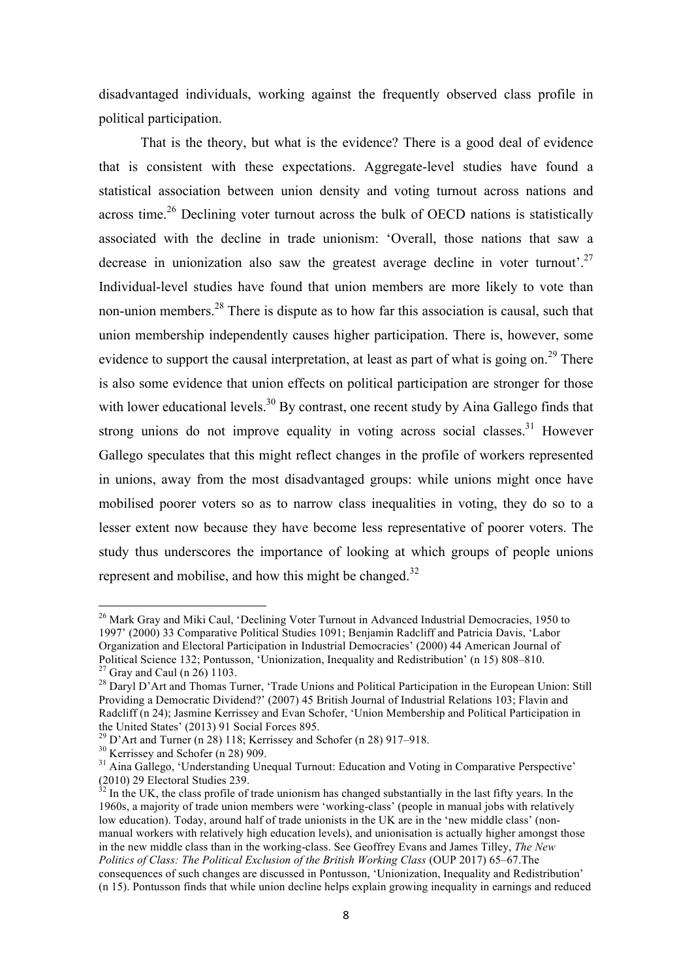disadvantaged individuals, working against the frequently observed class profile in political participation.

That is the theory, but what is the evidence? There is a good deal of evidence that is consistent with these expectations. Aggregate-level studies have found a statistical association between union density and voting turnout across nations and across time.<sup>26</sup> Declining voter turnout across the bulk of OECD nations is statistically associated with the decline in trade unionism: 'Overall, those nations that saw a decrease in unionization also saw the greatest average decline in voter turnout'.<sup>27</sup> Individual-level studies have found that union members are more likely to vote than non-union members.<sup>28</sup> There is dispute as to how far this association is causal, such that union membership independently causes higher participation. There is, however, some evidence to support the causal interpretation, at least as part of what is going on.<sup>29</sup> There is also some evidence that union effects on political participation are stronger for those with lower educational levels.<sup>30</sup> By contrast, one recent study by Aina Gallego finds that strong unions do not improve equality in voting across social classes.<sup>31</sup> However Gallego speculates that this might reflect changes in the profile of workers represented in unions, away from the most disadvantaged groups: while unions might once have mobilised poorer voters so as to narrow class inequalities in voting, they do so to a lesser extent now because they have become less representative of poorer voters. The study thus underscores the importance of looking at which groups of people unions represent and mobilise, and how this might be changed. $32$ 

<sup>&</sup>lt;sup>26</sup> Mark Gray and Miki Caul, 'Declining Voter Turnout in Advanced Industrial Democracies, 1950 to 1997' (2000) 33 Comparative Political Studies 1091; Benjamin Radcliff and Patricia Davis, 'Labor Organization and Electoral Participation in Industrial Democracies' (2000) 44 American Journal of Political Science 132; Pontusson, 'Unionization, Inequality and Redistribution' (n 15) 808–810.  $^{27}$  Gray and Caul (n 26) 1103.

<sup>&</sup>lt;sup>28</sup> Daryl D'Art and Thomas Turner, 'Trade Unions and Political Participation in the European Union: Still Providing a Democratic Dividend?' (2007) 45 British Journal of Industrial Relations 103; Flavin and Radcliff (n 24); Jasmine Kerrissey and Evan Schofer, 'Union Membership and Political Participation in the United States' (2013) 91 Social Forces 895.

<sup>&</sup>lt;sup>29</sup> D'Art and Turner (n 28) 118; Kerrissey and Schofer (n 28) 917–918.

<sup>30</sup> Kerrissey and Schofer (n 28) 909.

<sup>&</sup>lt;sup>31</sup> Aina Gallego, 'Understanding Unequal Turnout: Education and Voting in Comparative Perspective' (2010) 29 Electoral Studies 239.

 $32$  In the UK, the class profile of trade unionism has changed substantially in the last fifty years. In the 1960s, a majority of trade union members were 'working-class' (people in manual jobs with relatively low education). Today, around half of trade unionists in the UK are in the 'new middle class' (nonmanual workers with relatively high education levels), and unionisation is actually higher amongst those in the new middle class than in the working-class. See Geoffrey Evans and James Tilley, *The New Politics of Class: The Political Exclusion of the British Working Class* (OUP 2017) 65–67.The consequences of such changes are discussed in Pontusson, 'Unionization, Inequality and Redistribution' (n 15). Pontusson finds that while union decline helps explain growing inequality in earnings and reduced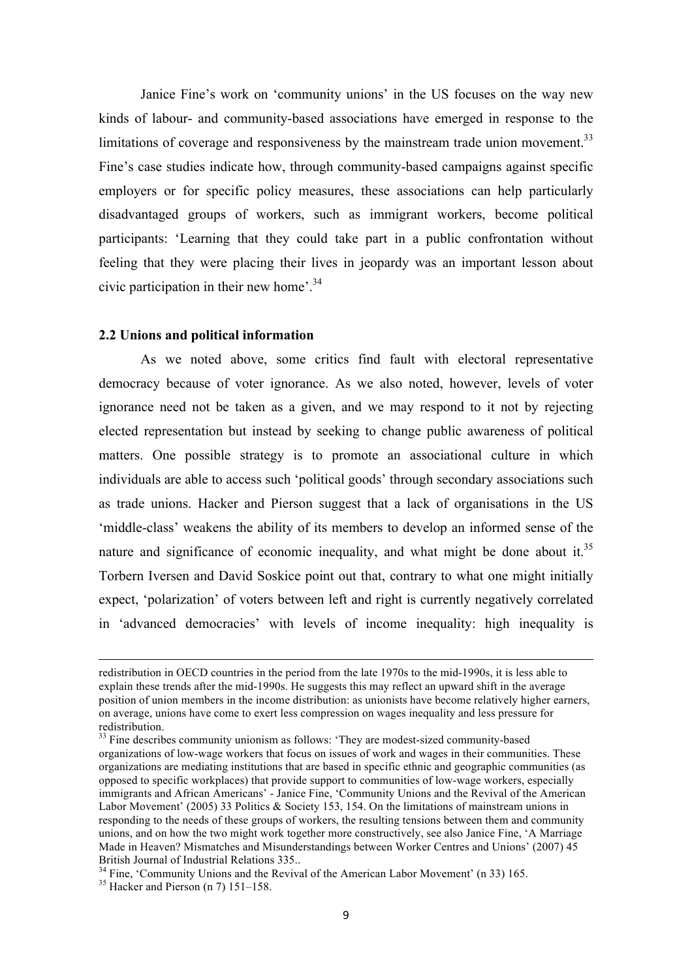Janice Fine's work on 'community unions' in the US focuses on the way new kinds of labour- and community-based associations have emerged in response to the limitations of coverage and responsiveness by the mainstream trade union movement.<sup>33</sup> Fine's case studies indicate how, through community-based campaigns against specific employers or for specific policy measures, these associations can help particularly disadvantaged groups of workers, such as immigrant workers, become political participants: 'Learning that they could take part in a public confrontation without feeling that they were placing their lives in jeopardy was an important lesson about civic participation in their new home'.<sup>34</sup>

#### **2.2 Unions and political information**

As we noted above, some critics find fault with electoral representative democracy because of voter ignorance. As we also noted, however, levels of voter ignorance need not be taken as a given, and we may respond to it not by rejecting elected representation but instead by seeking to change public awareness of political matters. One possible strategy is to promote an associational culture in which individuals are able to access such 'political goods' through secondary associations such as trade unions. Hacker and Pierson suggest that a lack of organisations in the US 'middle-class' weakens the ability of its members to develop an informed sense of the nature and significance of economic inequality, and what might be done about it.<sup>35</sup> Torbern Iversen and David Soskice point out that, contrary to what one might initially expect, 'polarization' of voters between left and right is currently negatively correlated in 'advanced democracies' with levels of income inequality: high inequality is

redistribution in OECD countries in the period from the late 1970s to the mid-1990s, it is less able to explain these trends after the mid-1990s. He suggests this may reflect an upward shift in the average position of union members in the income distribution: as unionists have become relatively higher earners, on average, unions have come to exert less compression on wages inequality and less pressure for redistribution.

 $33$  Fine describes community unionism as follows: 'They are modest-sized community-based organizations of low-wage workers that focus on issues of work and wages in their communities. These organizations are mediating institutions that are based in specific ethnic and geographic communities (as opposed to specific workplaces) that provide support to communities of low-wage workers, especially immigrants and African Americans' - Janice Fine, 'Community Unions and the Revival of the American Labor Movement' (2005) 33 Politics & Society 153, 154. On the limitations of mainstream unions in responding to the needs of these groups of workers, the resulting tensions between them and community unions, and on how the two might work together more constructively, see also Janice Fine, 'A Marriage Made in Heaven? Mismatches and Misunderstandings between Worker Centres and Unions' (2007) 45 British Journal of Industrial Relations 335..

 $34$  Fine, 'Community Unions and the Revival of the American Labor Movement' (n 33) 165.

<sup>&</sup>lt;sup>35</sup> Hacker and Pierson (n 7) 151–158.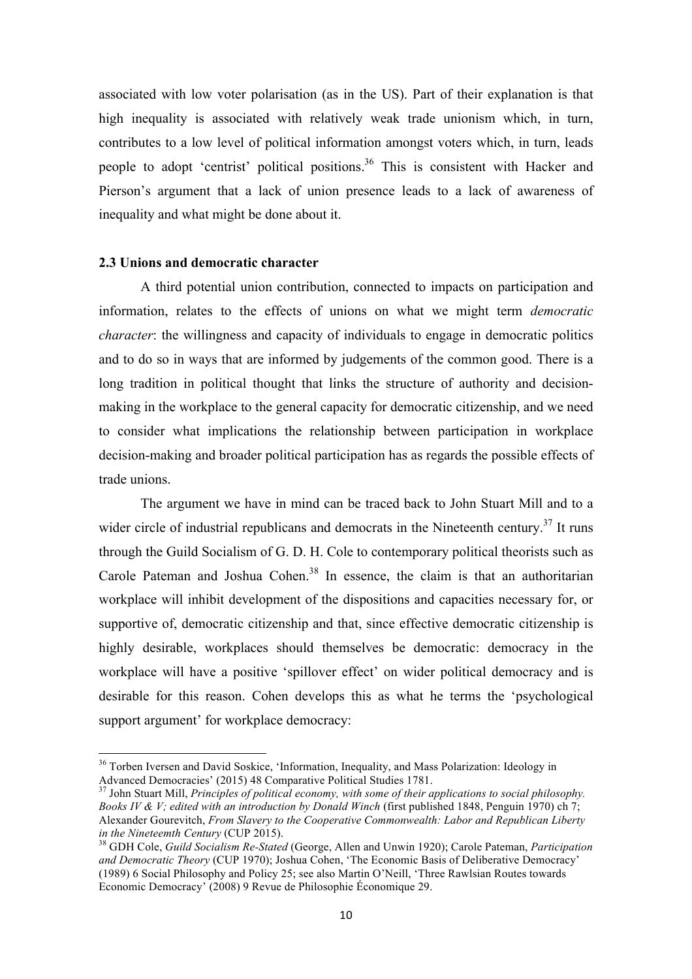associated with low voter polarisation (as in the US). Part of their explanation is that high inequality is associated with relatively weak trade unionism which, in turn, contributes to a low level of political information amongst voters which, in turn, leads people to adopt 'centrist' political positions.<sup>36</sup> This is consistent with Hacker and Pierson's argument that a lack of union presence leads to a lack of awareness of inequality and what might be done about it.

## **2.3 Unions and democratic character**

 $\overline{a}$ 

 A third potential union contribution, connected to impacts on participation and information, relates to the effects of unions on what we might term *democratic character*: the willingness and capacity of individuals to engage in democratic politics and to do so in ways that are informed by judgements of the common good. There is a long tradition in political thought that links the structure of authority and decisionmaking in the workplace to the general capacity for democratic citizenship, and we need to consider what implications the relationship between participation in workplace decision-making and broader political participation has as regards the possible effects of trade unions.

The argument we have in mind can be traced back to John Stuart Mill and to a wider circle of industrial republicans and democrats in the Nineteenth century.<sup>37</sup> It runs through the Guild Socialism of G. D. H. Cole to contemporary political theorists such as Carole Pateman and Joshua Cohen.<sup>38</sup> In essence, the claim is that an authoritarian workplace will inhibit development of the dispositions and capacities necessary for, or supportive of, democratic citizenship and that, since effective democratic citizenship is highly desirable, workplaces should themselves be democratic: democracy in the workplace will have a positive 'spillover effect' on wider political democracy and is desirable for this reason. Cohen develops this as what he terms the 'psychological support argument' for workplace democracy:

<sup>&</sup>lt;sup>36</sup> Torben Iversen and David Soskice, 'Information, Inequality, and Mass Polarization: Ideology in Advanced Democracies' (2015) 48 Comparative Political Studies 1781.

<sup>37</sup> John Stuart Mill, *Principles of political economy, with some of their applications to social philosophy. Books IV & V; edited with an introduction by Donald Winch* (first published 1848, Penguin 1970) ch 7; Alexander Gourevitch, *From Slavery to the Cooperative Commonwealth: Labor and Republican Liberty in the Nineteemth Century* (CUP 2015).

<sup>38</sup> GDH Cole, *Guild Socialism Re-Stated* (George, Allen and Unwin 1920); Carole Pateman, *Participation and Democratic Theory* (CUP 1970); Joshua Cohen, 'The Economic Basis of Deliberative Democracy' (1989) 6 Social Philosophy and Policy 25; see also Martin O'Neill, 'Three Rawlsian Routes towards Economic Democracy' (2008) 9 Revue de Philosophie Économique 29.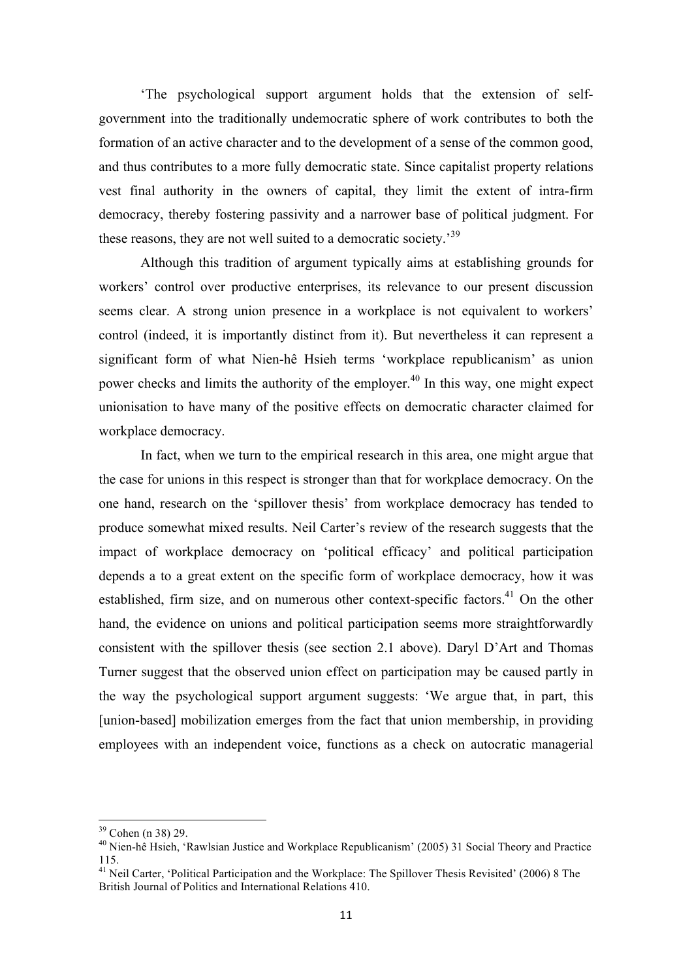'The psychological support argument holds that the extension of selfgovernment into the traditionally undemocratic sphere of work contributes to both the formation of an active character and to the development of a sense of the common good, and thus contributes to a more fully democratic state. Since capitalist property relations vest final authority in the owners of capital, they limit the extent of intra-firm democracy, thereby fostering passivity and a narrower base of political judgment. For these reasons, they are not well suited to a democratic society.<sup>39</sup>

 Although this tradition of argument typically aims at establishing grounds for workers' control over productive enterprises, its relevance to our present discussion seems clear. A strong union presence in a workplace is not equivalent to workers' control (indeed, it is importantly distinct from it). But nevertheless it can represent a significant form of what Nien-hê Hsieh terms 'workplace republicanism' as union power checks and limits the authority of the employer.<sup>40</sup> In this way, one might expect unionisation to have many of the positive effects on democratic character claimed for workplace democracy.

 In fact, when we turn to the empirical research in this area, one might argue that the case for unions in this respect is stronger than that for workplace democracy. On the one hand, research on the 'spillover thesis' from workplace democracy has tended to produce somewhat mixed results. Neil Carter's review of the research suggests that the impact of workplace democracy on 'political efficacy' and political participation depends a to a great extent on the specific form of workplace democracy, how it was established, firm size, and on numerous other context-specific factors.<sup>41</sup> On the other hand, the evidence on unions and political participation seems more straightforwardly consistent with the spillover thesis (see section 2.1 above). Daryl D'Art and Thomas Turner suggest that the observed union effect on participation may be caused partly in the way the psychological support argument suggests: 'We argue that, in part, this [union-based] mobilization emerges from the fact that union membership, in providing employees with an independent voice, functions as a check on autocratic managerial

 $39$  Cohen (n 38) 29.

<sup>&</sup>lt;sup>40</sup> Nien-hê Hsieh, 'Rawlsian Justice and Workplace Republicanism' (2005) 31 Social Theory and Practice 115.

<sup>&</sup>lt;sup>41</sup> Neil Carter, 'Political Participation and the Workplace: The Spillover Thesis Revisited' (2006) 8 The British Journal of Politics and International Relations 410.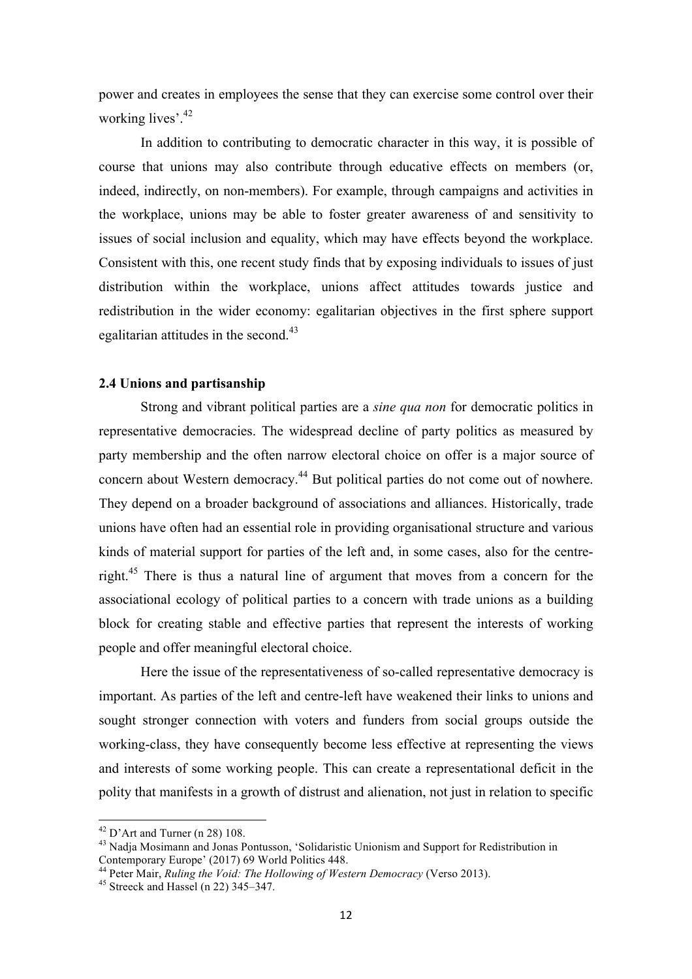power and creates in employees the sense that they can exercise some control over their working lives'.<sup>42</sup>

 In addition to contributing to democratic character in this way, it is possible of course that unions may also contribute through educative effects on members (or, indeed, indirectly, on non-members). For example, through campaigns and activities in the workplace, unions may be able to foster greater awareness of and sensitivity to issues of social inclusion and equality, which may have effects beyond the workplace. Consistent with this, one recent study finds that by exposing individuals to issues of just distribution within the workplace, unions affect attitudes towards justice and redistribution in the wider economy: egalitarian objectives in the first sphere support egalitarian attitudes in the second.<sup>43</sup>

## **2.4 Unions and partisanship**

 Strong and vibrant political parties are a *sine qua non* for democratic politics in representative democracies. The widespread decline of party politics as measured by party membership and the often narrow electoral choice on offer is a major source of concern about Western democracy.<sup>44</sup> But political parties do not come out of nowhere. They depend on a broader background of associations and alliances. Historically, trade unions have often had an essential role in providing organisational structure and various kinds of material support for parties of the left and, in some cases, also for the centreright.<sup>45</sup> There is thus a natural line of argument that moves from a concern for the associational ecology of political parties to a concern with trade unions as a building block for creating stable and effective parties that represent the interests of working people and offer meaningful electoral choice.

 Here the issue of the representativeness of so-called representative democracy is important. As parties of the left and centre-left have weakened their links to unions and sought stronger connection with voters and funders from social groups outside the working-class, they have consequently become less effective at representing the views and interests of some working people. This can create a representational deficit in the polity that manifests in a growth of distrust and alienation, not just in relation to specific

 $42$  D'Art and Turner (n 28) 108.

<sup>&</sup>lt;sup>43</sup> Nadja Mosimann and Jonas Pontusson, 'Solidaristic Unionism and Support for Redistribution in Contemporary Europe' (2017) 69 World Politics 448.

<sup>44</sup> Peter Mair, *Ruling the Void: The Hollowing of Western Democracy* (Verso 2013).

<sup>&</sup>lt;sup>45</sup> Streeck and Hassel (n 22) 345–347.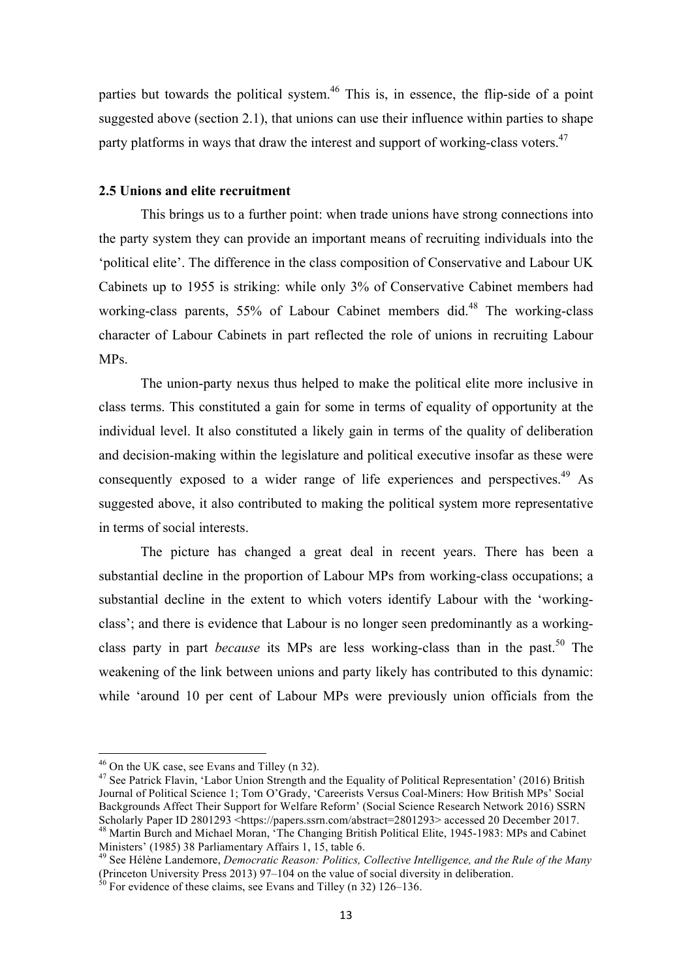parties but towards the political system.<sup>46</sup> This is, in essence, the flip-side of a point suggested above (section 2.1), that unions can use their influence within parties to shape party platforms in ways that draw the interest and support of working-class voters.<sup>47</sup>

## **2.5 Unions and elite recruitment**

This brings us to a further point: when trade unions have strong connections into the party system they can provide an important means of recruiting individuals into the 'political elite'. The difference in the class composition of Conservative and Labour UK Cabinets up to 1955 is striking: while only 3% of Conservative Cabinet members had working-class parents,  $55\%$  of Labour Cabinet members did.<sup>48</sup> The working-class character of Labour Cabinets in part reflected the role of unions in recruiting Labour MPs.

The union-party nexus thus helped to make the political elite more inclusive in class terms. This constituted a gain for some in terms of equality of opportunity at the individual level. It also constituted a likely gain in terms of the quality of deliberation and decision-making within the legislature and political executive insofar as these were consequently exposed to a wider range of life experiences and perspectives.<sup>49</sup> As suggested above, it also contributed to making the political system more representative in terms of social interests.

The picture has changed a great deal in recent years. There has been a substantial decline in the proportion of Labour MPs from working-class occupations; a substantial decline in the extent to which voters identify Labour with the 'workingclass'; and there is evidence that Labour is no longer seen predominantly as a workingclass party in part *because* its MPs are less working-class than in the past.<sup>50</sup> The weakening of the link between unions and party likely has contributed to this dynamic: while 'around 10 per cent of Labour MPs were previously union officials from the

 $46$  On the UK case, see Evans and Tilley (n 32).

<sup>&</sup>lt;sup>47</sup> See Patrick Flavin, 'Labor Union Strength and the Equality of Political Representation' (2016) British Journal of Political Science 1; Tom O'Grady, 'Careerists Versus Coal-Miners: How British MPs' Social Backgrounds Affect Their Support for Welfare Reform' (Social Science Research Network 2016) SSRN Scholarly Paper ID 2801293 <https://papers.ssrn.com/abstract=2801293> accessed 20 December 2017. <sup>48</sup> Martin Burch and Michael Moran, 'The Changing British Political Elite, 1945-1983: MPs and Cabinet

Ministers' (1985) 38 Parliamentary Affairs 1, 15, table 6.

<sup>49</sup> See Hélène Landemore, *Democratic Reason: Politics, Collective Intelligence, and the Rule of the Many* (Princeton University Press 2013) 97–104 on the value of social diversity in deliberation.

 $\frac{50}{50}$  For evidence of these claims, see Evans and Tilley (n 32) 126–136.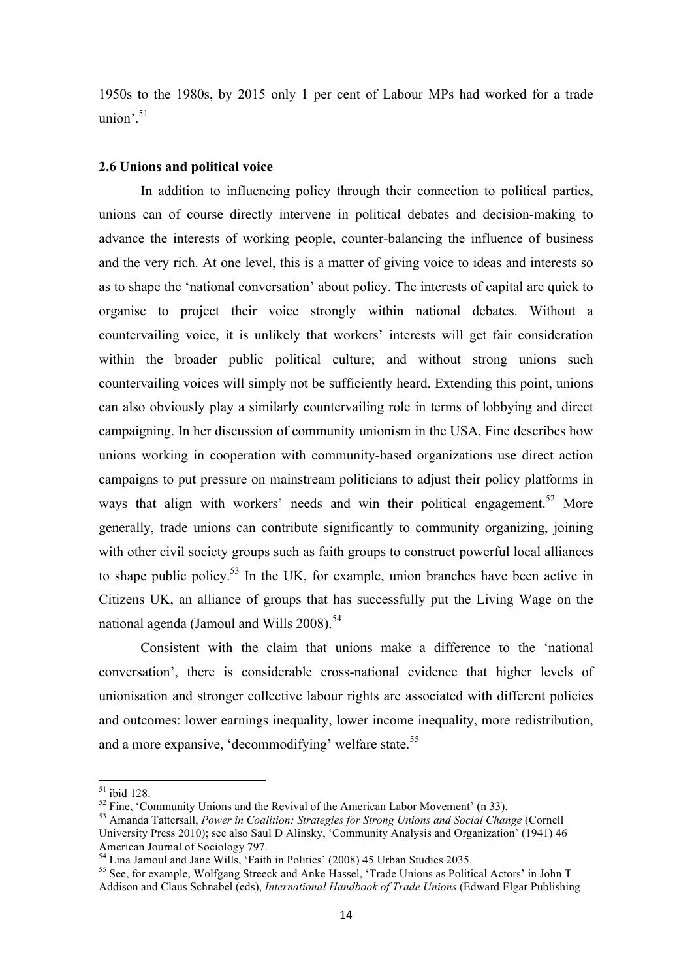1950s to the 1980s, by 2015 only 1 per cent of Labour MPs had worked for a trade union'.<sup>51</sup>

#### **2.6 Unions and political voice**

In addition to influencing policy through their connection to political parties, unions can of course directly intervene in political debates and decision-making to advance the interests of working people, counter-balancing the influence of business and the very rich. At one level, this is a matter of giving voice to ideas and interests so as to shape the 'national conversation' about policy. The interests of capital are quick to organise to project their voice strongly within national debates. Without a countervailing voice, it is unlikely that workers' interests will get fair consideration within the broader public political culture; and without strong unions such countervailing voices will simply not be sufficiently heard. Extending this point, unions can also obviously play a similarly countervailing role in terms of lobbying and direct campaigning. In her discussion of community unionism in the USA, Fine describes how unions working in cooperation with community-based organizations use direct action campaigns to put pressure on mainstream politicians to adjust their policy platforms in ways that align with workers' needs and win their political engagement.<sup>52</sup> More generally, trade unions can contribute significantly to community organizing, joining with other civil society groups such as faith groups to construct powerful local alliances to shape public policy.<sup>53</sup> In the UK, for example, union branches have been active in Citizens UK, an alliance of groups that has successfully put the Living Wage on the national agenda (Jamoul and Wills 2008).<sup>54</sup>

Consistent with the claim that unions make a difference to the 'national conversation', there is considerable cross-national evidence that higher levels of unionisation and stronger collective labour rights are associated with different policies and outcomes: lower earnings inequality, lower income inequality, more redistribution, and a more expansive, 'decommodifying' welfare state.<sup>55</sup>

 $51$  ibid 128.

 $52$  Fine, 'Community Unions and the Revival of the American Labor Movement' (n 33).

<sup>53</sup> Amanda Tattersall, *Power in Coalition: Strategies for Strong Unions and Social Change* (Cornell

University Press 2010); see also Saul D Alinsky, 'Community Analysis and Organization' (1941) 46 American Journal of Sociology 797.

<sup>&</sup>lt;sup>54</sup> Lina Jamoul and Jane Wills, 'Faith in Politics' (2008) 45 Urban Studies 2035.

<sup>55</sup> See, for example, Wolfgang Streeck and Anke Hassel, 'Trade Unions as Political Actors' in John T Addison and Claus Schnabel (eds), *International Handbook of Trade Unions* (Edward Elgar Publishing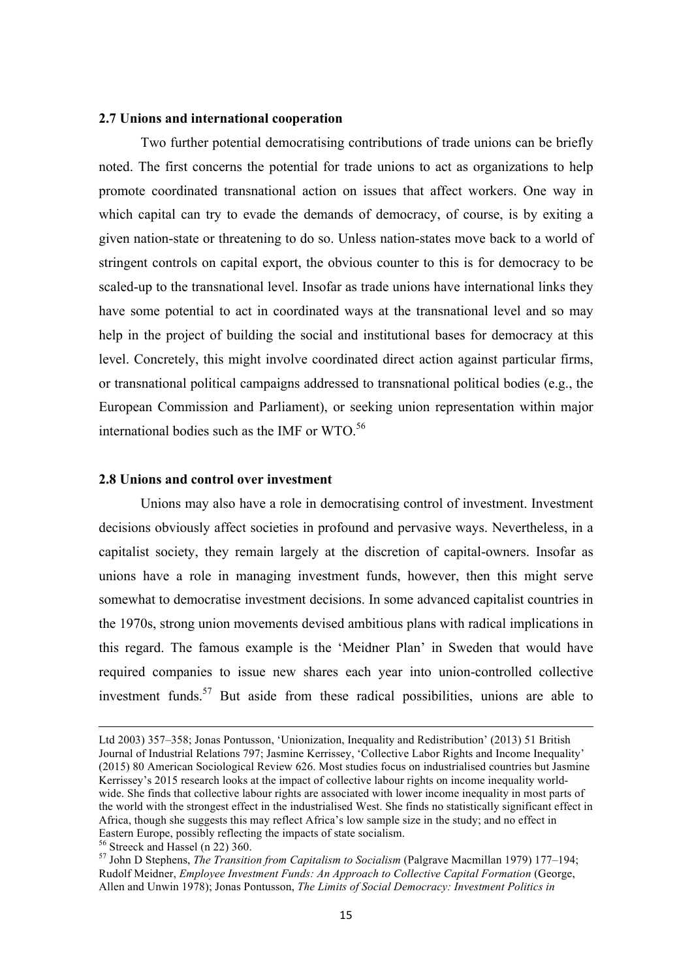#### **2.7 Unions and international cooperation**

Two further potential democratising contributions of trade unions can be briefly noted. The first concerns the potential for trade unions to act as organizations to help promote coordinated transnational action on issues that affect workers. One way in which capital can try to evade the demands of democracy, of course, is by exiting a given nation-state or threatening to do so. Unless nation-states move back to a world of stringent controls on capital export, the obvious counter to this is for democracy to be scaled-up to the transnational level. Insofar as trade unions have international links they have some potential to act in coordinated ways at the transnational level and so may help in the project of building the social and institutional bases for democracy at this level. Concretely, this might involve coordinated direct action against particular firms, or transnational political campaigns addressed to transnational political bodies (e.g., the European Commission and Parliament), or seeking union representation within major international bodies such as the IMF or WTO. 56

#### **2.8 Unions and control over investment**

 Unions may also have a role in democratising control of investment. Investment decisions obviously affect societies in profound and pervasive ways. Nevertheless, in a capitalist society, they remain largely at the discretion of capital-owners. Insofar as unions have a role in managing investment funds, however, then this might serve somewhat to democratise investment decisions. In some advanced capitalist countries in the 1970s, strong union movements devised ambitious plans with radical implications in this regard. The famous example is the 'Meidner Plan' in Sweden that would have required companies to issue new shares each year into union-controlled collective investment funds.<sup>57</sup> But aside from these radical possibilities, unions are able to

Ltd 2003) 357–358; Jonas Pontusson, 'Unionization, Inequality and Redistribution' (2013) 51 British Journal of Industrial Relations 797; Jasmine Kerrissey, 'Collective Labor Rights and Income Inequality' (2015) 80 American Sociological Review 626. Most studies focus on industrialised countries but Jasmine Kerrissey's 2015 research looks at the impact of collective labour rights on income inequality worldwide. She finds that collective labour rights are associated with lower income inequality in most parts of the world with the strongest effect in the industrialised West. She finds no statistically significant effect in Africa, though she suggests this may reflect Africa's low sample size in the study; and no effect in Eastern Europe, possibly reflecting the impacts of state socialism.

 $56$  Streeck and Hassel (n 22) 360.

<sup>57</sup> John D Stephens, *The Transition from Capitalism to Socialism* (Palgrave Macmillan 1979) 177–194; Rudolf Meidner, *Employee Investment Funds: An Approach to Collective Capital Formation* (George, Allen and Unwin 1978); Jonas Pontusson, *The Limits of Social Democracy: Investment Politics in*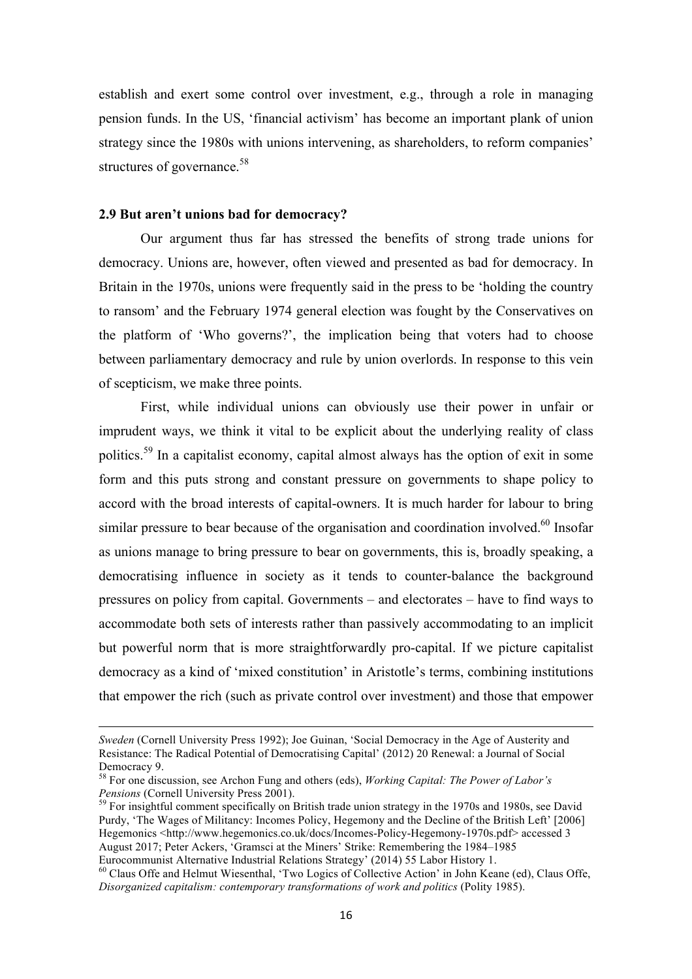establish and exert some control over investment, e.g., through a role in managing pension funds. In the US, 'financial activism' has become an important plank of union strategy since the 1980s with unions intervening, as shareholders, to reform companies' structures of governance.<sup>58</sup>

## **2.9 But aren't unions bad for democracy?**

 $\overline{a}$ 

 Our argument thus far has stressed the benefits of strong trade unions for democracy. Unions are, however, often viewed and presented as bad for democracy. In Britain in the 1970s, unions were frequently said in the press to be 'holding the country to ransom' and the February 1974 general election was fought by the Conservatives on the platform of 'Who governs?', the implication being that voters had to choose between parliamentary democracy and rule by union overlords. In response to this vein of scepticism, we make three points.

First, while individual unions can obviously use their power in unfair or imprudent ways, we think it vital to be explicit about the underlying reality of class politics.<sup>59</sup> In a capitalist economy, capital almost always has the option of exit in some form and this puts strong and constant pressure on governments to shape policy to accord with the broad interests of capital-owners. It is much harder for labour to bring similar pressure to bear because of the organisation and coordination involved.<sup>60</sup> Insofar as unions manage to bring pressure to bear on governments, this is, broadly speaking, a democratising influence in society as it tends to counter-balance the background pressures on policy from capital. Governments – and electorates – have to find ways to accommodate both sets of interests rather than passively accommodating to an implicit but powerful norm that is more straightforwardly pro-capital. If we picture capitalist democracy as a kind of 'mixed constitution' in Aristotle's terms, combining institutions that empower the rich (such as private control over investment) and those that empower

*Sweden* (Cornell University Press 1992); Joe Guinan, 'Social Democracy in the Age of Austerity and Resistance: The Radical Potential of Democratising Capital' (2012) 20 Renewal: a Journal of Social Democracy 9.

<sup>58</sup> For one discussion, see Archon Fung and others (eds), *Working Capital: The Power of Labor's Pensions* (Cornell University Press 2001).

<sup>&</sup>lt;sup>59</sup> For insightful comment specifically on British trade union strategy in the 1970s and 1980s, see David Purdy, 'The Wages of Militancy: Incomes Policy, Hegemony and the Decline of the British Left' [2006] Hegemonics <http://www.hegemonics.co.uk/docs/Incomes-Policy-Hegemony-1970s.pdf> accessed 3 August 2017; Peter Ackers, 'Gramsci at the Miners' Strike: Remembering the 1984–1985 Eurocommunist Alternative Industrial Relations Strategy' (2014) 55 Labor History 1.

<sup>&</sup>lt;sup>60</sup> Claus Offe and Helmut Wiesenthal, 'Two Logics of Collective Action' in John Keane (ed), Claus Offe, *Disorganized capitalism: contemporary transformations of work and politics* (Polity 1985).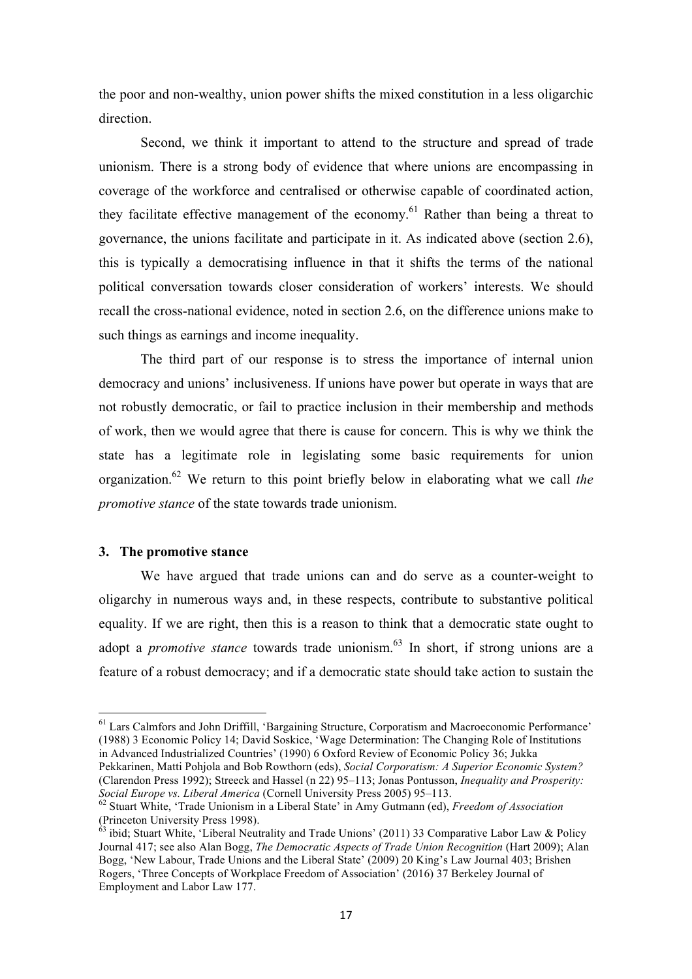the poor and non-wealthy, union power shifts the mixed constitution in a less oligarchic direction.

 Second, we think it important to attend to the structure and spread of trade unionism. There is a strong body of evidence that where unions are encompassing in coverage of the workforce and centralised or otherwise capable of coordinated action, they facilitate effective management of the economy.<sup>61</sup> Rather than being a threat to governance, the unions facilitate and participate in it. As indicated above (section 2.6), this is typically a democratising influence in that it shifts the terms of the national political conversation towards closer consideration of workers' interests. We should recall the cross-national evidence, noted in section 2.6, on the difference unions make to such things as earnings and income inequality.

 The third part of our response is to stress the importance of internal union democracy and unions' inclusiveness. If unions have power but operate in ways that are not robustly democratic, or fail to practice inclusion in their membership and methods of work, then we would agree that there is cause for concern. This is why we think the state has a legitimate role in legislating some basic requirements for union organization.<sup>62</sup> We return to this point briefly below in elaborating what we call *the promotive stance* of the state towards trade unionism.

#### **3. The promotive stance**

 $\overline{a}$ 

We have argued that trade unions can and do serve as a counter-weight to oligarchy in numerous ways and, in these respects, contribute to substantive political equality. If we are right, then this is a reason to think that a democratic state ought to adopt a *promotive stance* towards trade unionism.<sup>63</sup> In short, if strong unions are a feature of a robust democracy; and if a democratic state should take action to sustain the

*Social Europe vs. Liberal America* (Cornell University Press 2005) 95–113.

<sup>61</sup> Lars Calmfors and John Driffill, 'Bargaining Structure, Corporatism and Macroeconomic Performance' (1988) 3 Economic Policy 14; David Soskice, 'Wage Determination: The Changing Role of Institutions in Advanced Industrialized Countries' (1990) 6 Oxford Review of Economic Policy 36; Jukka Pekkarinen, Matti Pohjola and Bob Rowthorn (eds), *Social Corporatism: A Superior Economic System?* (Clarendon Press 1992); Streeck and Hassel (n 22) 95–113; Jonas Pontusson, *Inequality and Prosperity:* 

<sup>62</sup> Stuart White, 'Trade Unionism in a Liberal State' in Amy Gutmann (ed), *Freedom of Association* (Princeton University Press 1998).

 $^{63}$  ibid; Stuart White, 'Liberal Neutrality and Trade Unions' (2011) 33 Comparative Labor Law & Policy Journal 417; see also Alan Bogg, *The Democratic Aspects of Trade Union Recognition* (Hart 2009); Alan Bogg, 'New Labour, Trade Unions and the Liberal State' (2009) 20 King's Law Journal 403; Brishen Rogers, 'Three Concepts of Workplace Freedom of Association' (2016) 37 Berkeley Journal of Employment and Labor Law 177.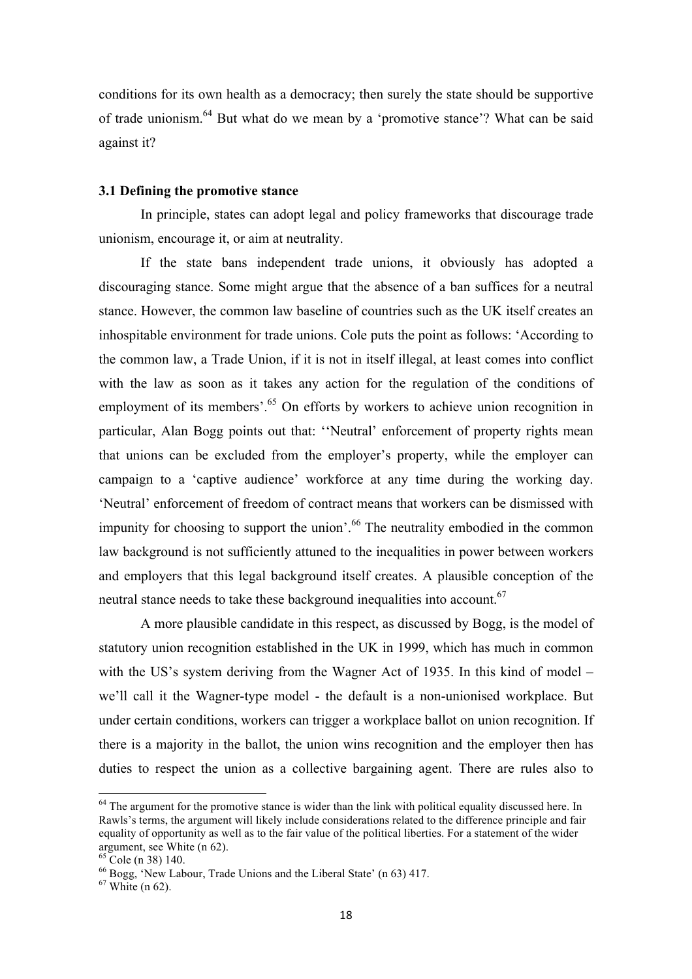conditions for its own health as a democracy; then surely the state should be supportive of trade unionism.<sup>64</sup> But what do we mean by a 'promotive stance'? What can be said against it?

## **3.1 Defining the promotive stance**

In principle, states can adopt legal and policy frameworks that discourage trade unionism, encourage it, or aim at neutrality.

If the state bans independent trade unions, it obviously has adopted a discouraging stance. Some might argue that the absence of a ban suffices for a neutral stance. However, the common law baseline of countries such as the UK itself creates an inhospitable environment for trade unions. Cole puts the point as follows: 'According to the common law, a Trade Union, if it is not in itself illegal, at least comes into conflict with the law as soon as it takes any action for the regulation of the conditions of employment of its members'.<sup>65</sup> On efforts by workers to achieve union recognition in particular, Alan Bogg points out that: ''Neutral' enforcement of property rights mean that unions can be excluded from the employer's property, while the employer can campaign to a 'captive audience' workforce at any time during the working day. 'Neutral' enforcement of freedom of contract means that workers can be dismissed with impunity for choosing to support the union<sup>'.66</sup> The neutrality embodied in the common law background is not sufficiently attuned to the inequalities in power between workers and employers that this legal background itself creates. A plausible conception of the neutral stance needs to take these background inequalities into account.<sup>67</sup>

A more plausible candidate in this respect, as discussed by Bogg, is the model of statutory union recognition established in the UK in 1999, which has much in common with the US's system deriving from the Wagner Act of 1935. In this kind of model – we'll call it the Wagner-type model - the default is a non-unionised workplace. But under certain conditions, workers can trigger a workplace ballot on union recognition. If there is a majority in the ballot, the union wins recognition and the employer then has duties to respect the union as a collective bargaining agent. There are rules also to

 $64$  The argument for the promotive stance is wider than the link with political equality discussed here. In Rawls's terms, the argument will likely include considerations related to the difference principle and fair equality of opportunity as well as to the fair value of the political liberties. For a statement of the wider argument, see White (n 62).

 $65$  Cole (n 38) 140.

<sup>66</sup> Bogg, 'New Labour, Trade Unions and the Liberal State' (n 63) 417.

 $67$  White (n 62).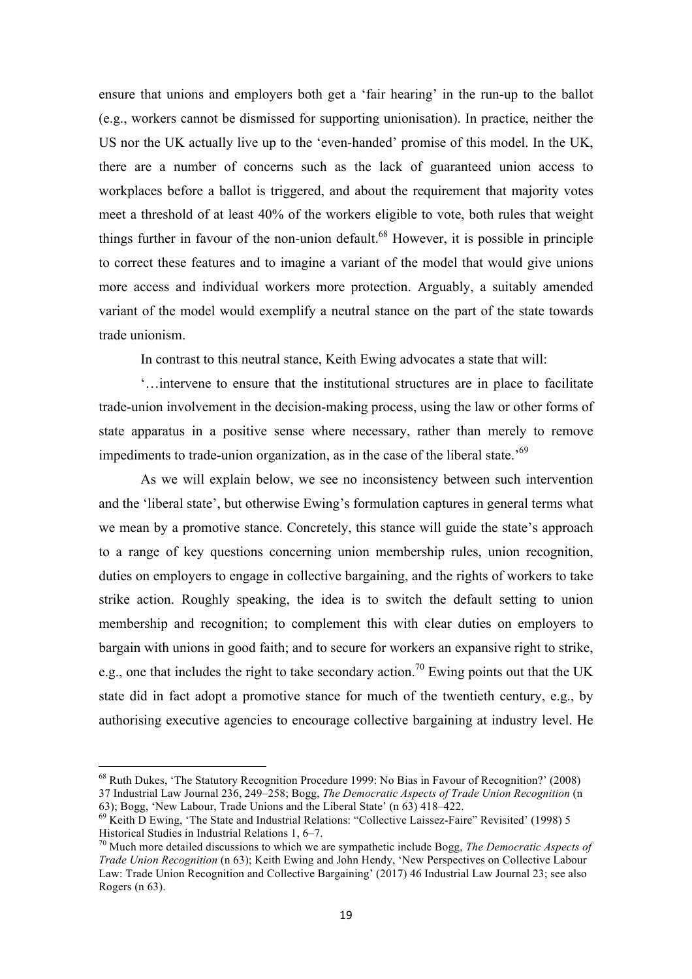ensure that unions and employers both get a 'fair hearing' in the run-up to the ballot (e.g., workers cannot be dismissed for supporting unionisation). In practice, neither the US nor the UK actually live up to the 'even-handed' promise of this model. In the UK, there are a number of concerns such as the lack of guaranteed union access to workplaces before a ballot is triggered, and about the requirement that majority votes meet a threshold of at least 40% of the workers eligible to vote, both rules that weight things further in favour of the non-union default.<sup>68</sup> However, it is possible in principle to correct these features and to imagine a variant of the model that would give unions more access and individual workers more protection. Arguably, a suitably amended variant of the model would exemplify a neutral stance on the part of the state towards trade unionism.

In contrast to this neutral stance, Keith Ewing advocates a state that will:

'…intervene to ensure that the institutional structures are in place to facilitate trade-union involvement in the decision-making process, using the law or other forms of state apparatus in a positive sense where necessary, rather than merely to remove impediments to trade-union organization, as in the case of the liberal state.<sup>69</sup>

As we will explain below, we see no inconsistency between such intervention and the 'liberal state', but otherwise Ewing's formulation captures in general terms what we mean by a promotive stance. Concretely, this stance will guide the state's approach to a range of key questions concerning union membership rules, union recognition, duties on employers to engage in collective bargaining, and the rights of workers to take strike action. Roughly speaking, the idea is to switch the default setting to union membership and recognition; to complement this with clear duties on employers to bargain with unions in good faith; and to secure for workers an expansive right to strike, e.g., one that includes the right to take secondary action.<sup>70</sup> Ewing points out that the UK state did in fact adopt a promotive stance for much of the twentieth century, e.g., by authorising executive agencies to encourage collective bargaining at industry level. He

<sup>68</sup> Ruth Dukes, 'The Statutory Recognition Procedure 1999: No Bias in Favour of Recognition?' (2008) 37 Industrial Law Journal 236, 249–258; Bogg, *The Democratic Aspects of Trade Union Recognition* (n 63); Bogg, 'New Labour, Trade Unions and the Liberal State' (n 63) 418–422.

<sup>69</sup> Keith D Ewing, 'The State and Industrial Relations: "Collective Laissez-Faire" Revisited' (1998) 5 Historical Studies in Industrial Relations 1, 6–7.

<sup>70</sup> Much more detailed discussions to which we are sympathetic include Bogg, *The Democratic Aspects of Trade Union Recognition* (n 63); Keith Ewing and John Hendy, 'New Perspectives on Collective Labour Law: Trade Union Recognition and Collective Bargaining' (2017) 46 Industrial Law Journal 23; see also Rogers (n 63).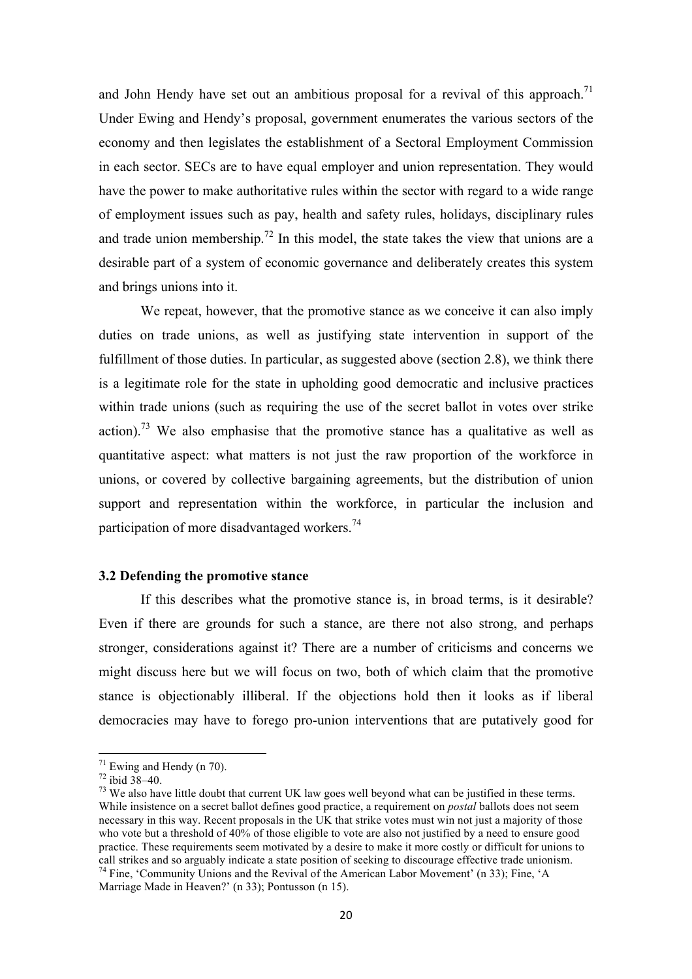and John Hendy have set out an ambitious proposal for a revival of this approach.<sup>71</sup> Under Ewing and Hendy's proposal, government enumerates the various sectors of the economy and then legislates the establishment of a Sectoral Employment Commission in each sector. SECs are to have equal employer and union representation. They would have the power to make authoritative rules within the sector with regard to a wide range of employment issues such as pay, health and safety rules, holidays, disciplinary rules and trade union membership.<sup>72</sup> In this model, the state takes the view that unions are a desirable part of a system of economic governance and deliberately creates this system and brings unions into it.

We repeat, however, that the promotive stance as we conceive it can also imply duties on trade unions, as well as justifying state intervention in support of the fulfillment of those duties. In particular, as suggested above (section 2.8), we think there is a legitimate role for the state in upholding good democratic and inclusive practices within trade unions (such as requiring the use of the secret ballot in votes over strike action).<sup>73</sup> We also emphasise that the promotive stance has a qualitative as well as quantitative aspect: what matters is not just the raw proportion of the workforce in unions, or covered by collective bargaining agreements, but the distribution of union support and representation within the workforce, in particular the inclusion and participation of more disadvantaged workers.<sup>74</sup>

## **3.2 Defending the promotive stance**

 If this describes what the promotive stance is, in broad terms, is it desirable? Even if there are grounds for such a stance, are there not also strong, and perhaps stronger, considerations against it? There are a number of criticisms and concerns we might discuss here but we will focus on two, both of which claim that the promotive stance is objectionably illiberal. If the objections hold then it looks as if liberal democracies may have to forego pro-union interventions that are putatively good for

 $71$  Ewing and Hendy (n 70).

 $72$  ibid  $38-40$ .

 $^{73}$  We also have little doubt that current UK law goes well beyond what can be justified in these terms. While insistence on a secret ballot defines good practice, a requirement on *postal* ballots does not seem necessary in this way. Recent proposals in the UK that strike votes must win not just a majority of those who vote but a threshold of 40% of those eligible to vote are also not justified by a need to ensure good practice. These requirements seem motivated by a desire to make it more costly or difficult for unions to call strikes and so arguably indicate a state position of seeking to discourage effective trade unionism. <sup>74</sup> Fine, 'Community Unions and the Revival of the American Labor Movement' (n 33); Fine, 'A

Marriage Made in Heaven?' (n 33); Pontusson (n 15).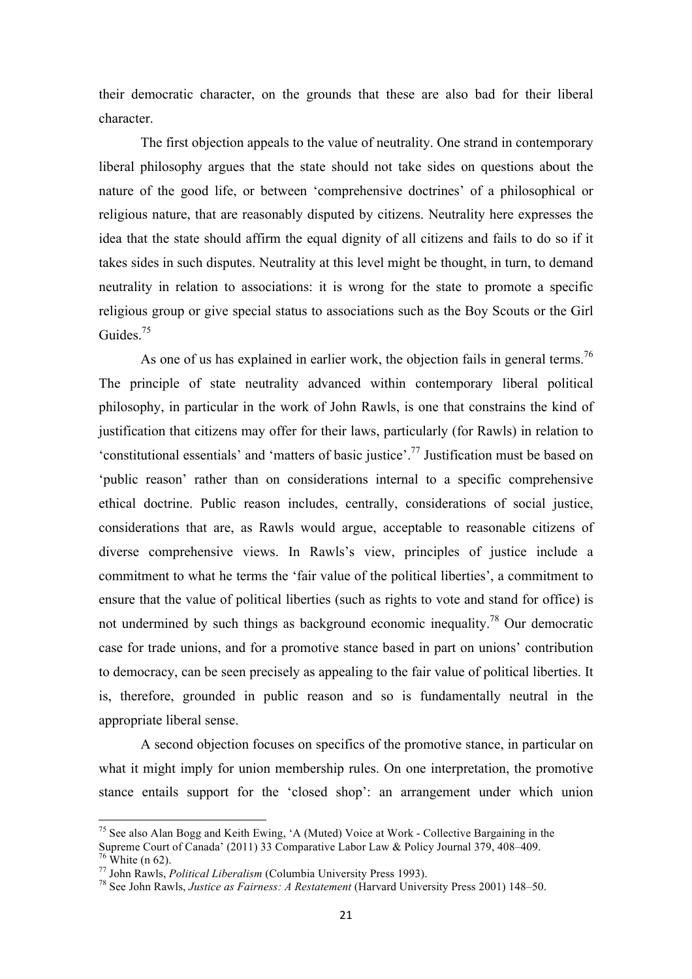their democratic character, on the grounds that these are also bad for their liberal character.

 The first objection appeals to the value of neutrality. One strand in contemporary liberal philosophy argues that the state should not take sides on questions about the nature of the good life, or between 'comprehensive doctrines' of a philosophical or religious nature, that are reasonably disputed by citizens. Neutrality here expresses the idea that the state should affirm the equal dignity of all citizens and fails to do so if it takes sides in such disputes. Neutrality at this level might be thought, in turn, to demand neutrality in relation to associations: it is wrong for the state to promote a specific religious group or give special status to associations such as the Boy Scouts or the Girl Guides.<sup>75</sup>

As one of us has explained in earlier work, the objection fails in general terms.<sup>76</sup> The principle of state neutrality advanced within contemporary liberal political philosophy, in particular in the work of John Rawls, is one that constrains the kind of justification that citizens may offer for their laws, particularly (for Rawls) in relation to 'constitutional essentials' and 'matters of basic justice'.<sup>77</sup> Justification must be based on 'public reason' rather than on considerations internal to a specific comprehensive ethical doctrine. Public reason includes, centrally, considerations of social justice, considerations that are, as Rawls would argue, acceptable to reasonable citizens of diverse comprehensive views. In Rawls's view, principles of justice include a commitment to what he terms the 'fair value of the political liberties', a commitment to ensure that the value of political liberties (such as rights to vote and stand for office) is not undermined by such things as background economic inequality.<sup>78</sup> Our democratic case for trade unions, and for a promotive stance based in part on unions' contribution to democracy, can be seen precisely as appealing to the fair value of political liberties. It is, therefore, grounded in public reason and so is fundamentally neutral in the appropriate liberal sense.

A second objection focuses on specifics of the promotive stance, in particular on what it might imply for union membership rules. On one interpretation, the promotive stance entails support for the 'closed shop': an arrangement under which union

 $75$  See also Alan Bogg and Keith Ewing, 'A (Muted) Voice at Work - Collective Bargaining in the Supreme Court of Canada' (2011) 33 Comparative Labor Law & Policy Journal 379, 408–409.  $76$  White (n 62).

<sup>77</sup> John Rawls, *Political Liberalism* (Columbia University Press 1993).

<sup>78</sup> See John Rawls, *Justice as Fairness: A Restatement* (Harvard University Press 2001) 148–50.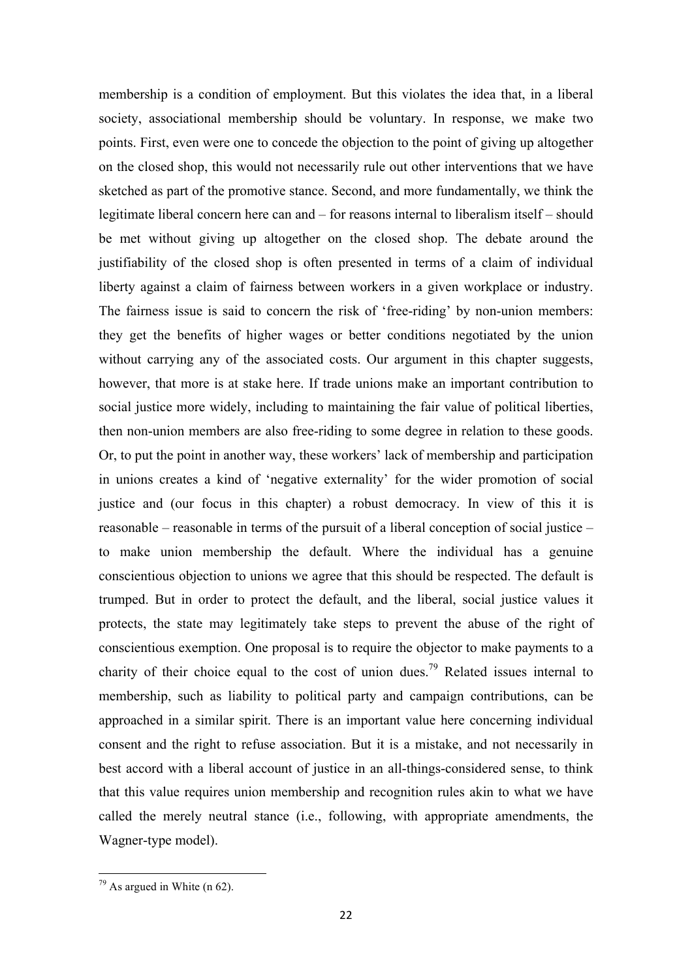membership is a condition of employment. But this violates the idea that, in a liberal society, associational membership should be voluntary. In response, we make two points. First, even were one to concede the objection to the point of giving up altogether on the closed shop, this would not necessarily rule out other interventions that we have sketched as part of the promotive stance. Second, and more fundamentally, we think the legitimate liberal concern here can and – for reasons internal to liberalism itself – should be met without giving up altogether on the closed shop. The debate around the justifiability of the closed shop is often presented in terms of a claim of individual liberty against a claim of fairness between workers in a given workplace or industry. The fairness issue is said to concern the risk of 'free-riding' by non-union members: they get the benefits of higher wages or better conditions negotiated by the union without carrying any of the associated costs. Our argument in this chapter suggests, however, that more is at stake here. If trade unions make an important contribution to social justice more widely, including to maintaining the fair value of political liberties, then non-union members are also free-riding to some degree in relation to these goods. Or, to put the point in another way, these workers' lack of membership and participation in unions creates a kind of 'negative externality' for the wider promotion of social justice and (our focus in this chapter) a robust democracy. In view of this it is reasonable – reasonable in terms of the pursuit of a liberal conception of social justice – to make union membership the default. Where the individual has a genuine conscientious objection to unions we agree that this should be respected. The default is trumped. But in order to protect the default, and the liberal, social justice values it protects, the state may legitimately take steps to prevent the abuse of the right of conscientious exemption. One proposal is to require the objector to make payments to a charity of their choice equal to the cost of union dues.<sup>79</sup> Related issues internal to membership, such as liability to political party and campaign contributions, can be approached in a similar spirit. There is an important value here concerning individual consent and the right to refuse association. But it is a mistake, and not necessarily in best accord with a liberal account of justice in an all-things-considered sense, to think that this value requires union membership and recognition rules akin to what we have called the merely neutral stance (i.e., following, with appropriate amendments, the Wagner-type model).

 $79$  As argued in White (n 62).